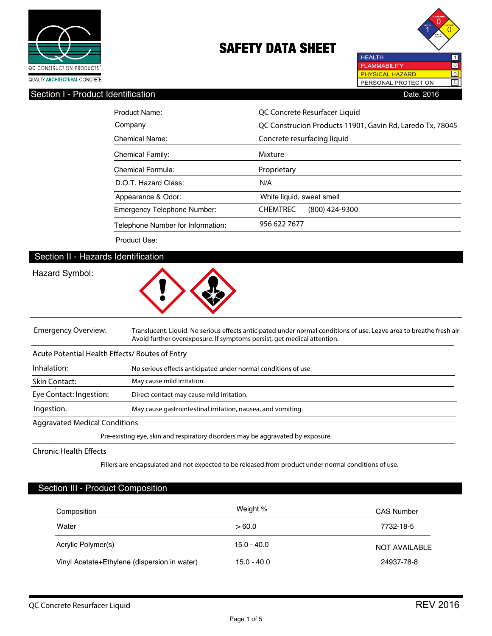



# Section I - Product Identification **Date. 2016** Date. 2016

| Product Name:                      | QC Concrete Resurfacer Liquid                             |  |  |
|------------------------------------|-----------------------------------------------------------|--|--|
| Company                            | QC Construcion Products 11901, Gavin Rd, Laredo Tx, 78045 |  |  |
| Chemical Name:                     | Concrete resurfacing liquid                               |  |  |
| <b>Chemical Family:</b>            | Mixture                                                   |  |  |
| Chemical Formula:                  | Proprietary                                               |  |  |
| D.O.T. Hazard Class:               | N/A                                                       |  |  |
| Appearance & Odor:                 | White liquid, sweet smell                                 |  |  |
| <b>Emergency Telephone Number:</b> | <b>CHEMTREC</b><br>$(800)$ 424-9300                       |  |  |
| Telephone Number for Information:  | 956 622 7677                                              |  |  |

Product Use:

# Section II - Hazards Identification

# Hazard Symbol:



**Emergency Overview.** Translucent. Liquid. No serious effects anticipated under normal conditions of use. Leave area to breathe fresh air. **Avoid further overexposure. If symptoms persist, get medical attention.** Acute Potential Health Effects/ Routes of Entry **Inhalation:** No serious effects anticipated under normal conditions of use.

**May cause mild irritation. Direct contact may cause mild irritation. May cause gastrointestinal irritation, nausea, and vomiting. Ingestion. Skin Contact: Eye Contact: Ingestion:**

### **Aggravated Medical Conditions**

**Pre-existing eye, skin and respiratory disorders may be aggravated by exposure.**

### **Chronic Health Effects**

**Fillers are encapsulated and not expected to be released from product under normal conditions of use.**

### Section III - Product Composition

| Composition                                  | Weight %      | <b>CAS Number</b>    |
|----------------------------------------------|---------------|----------------------|
| Water                                        | >60.0         | 7732-18-5            |
| Acrylic Polymer(s)                           | $15.0 - 40.0$ | <b>NOT AVAILABLE</b> |
| Vinyl Acetate+Ethylene (dispersion in water) | $15.0 - 40.0$ | 24937-78-8           |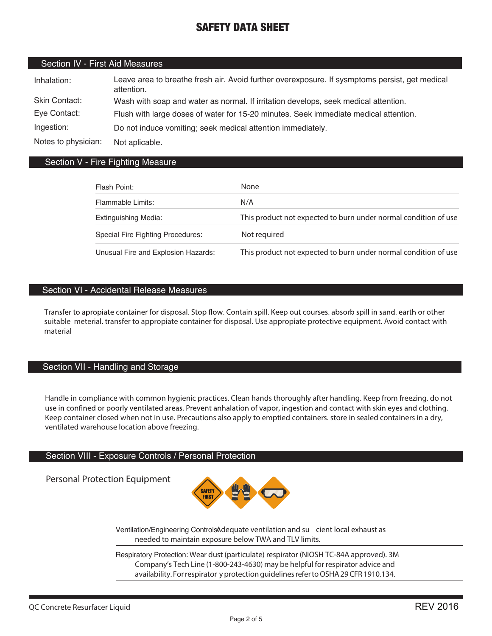# Section IV - First Aid Measures

| Inhalation:         | Leave area to breathe fresh air. Avoid further overexposure. If sysmptoms persist, get medical<br>attention. |
|---------------------|--------------------------------------------------------------------------------------------------------------|
| Skin Contact:       | Wash with soap and water as normal. If irritation develops, seek medical attention.                          |
| Eye Contact:        | Flush with large doses of water for 15-20 minutes. Seek immediate medical attention.                         |
| Ingestion:          | Do not induce vomiting; seek medical attention immediately.                                                  |
| Notes to physician: | Not aplicable.                                                                                               |

### Section V - Fire Fighting Measure

| Flash Point:                        | None                                                            |
|-------------------------------------|-----------------------------------------------------------------|
| Flammable Limits:                   | N/A                                                             |
| <b>Extinguishing Media:</b>         | This product not expected to burn under normal condition of use |
| Special Fire Fighting Procedures:   | Not required                                                    |
| Unusual Fire and Explosion Hazards: | This product not expected to burn under normal condition of use |

### Section VI - Accidental Release Measures

Transfer to apropiate container for disposal. Stop flow. Contain spill. Keep out courses. absorb spill in sand. earth or other **suitable meterial. transfer to appropiate container for disposal. Use appropiate protective equipment. Avoid contact with material**

### Section VII - Handling and Storage

**Handle in compliance with common hygienic practices. Clean hands thoroughly after handling. Keep from freezing. do not** use in confined or poorly ventilated areas. Prevent anhalation of vapor, ingestion and contact with skin eyes and clothing. **Keep container closed when not in use. Precautions also apply to emptied containers. store in sealed containers in a dry, ventilated warehouse location above freezing.**

# Section VIII - Exposure Controls / Personal Protection

Personal Protection Equipment



Ventilation/Engineering ControlsAdequate ventilation and su cient local exhaust as **needed to maintain exposure below TWA and TLV limits.**

Respiratory Protection: **Wear dust (particulate) respirator (NIOSH TC-84A approved). 3M Company's Tech Line (1-800-243-4630) may be helpful for respirator advice and availability. For respirator y protection guidelines refer to OSHA 29 CFR 1910.134.**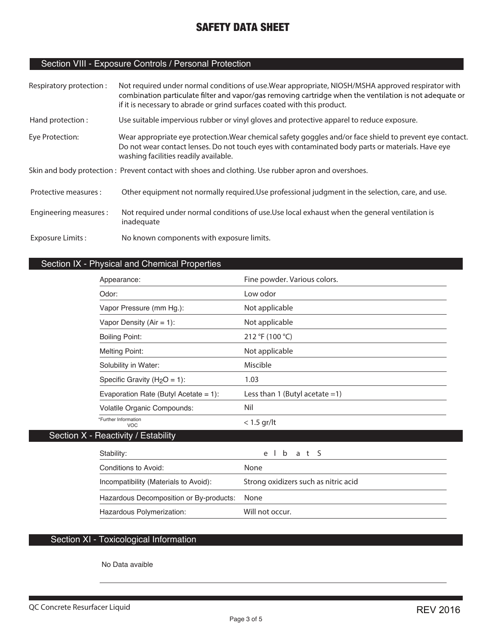# Section VIII - Exposure Controls / Personal Protection

| Respiratory protection: | Not required under normal conditions of use. Wear appropriate, NIOSH/MSHA approved respirator with<br>combination particulate filter and vapor/gas removing cartridge when the ventilation is not adequate or<br>if it is necessary to abrade or grind surfaces coated with this product. |
|-------------------------|-------------------------------------------------------------------------------------------------------------------------------------------------------------------------------------------------------------------------------------------------------------------------------------------|
| Hand protection:        | Use suitable impervious rubber or vinyl gloves and protective apparel to reduce exposure.                                                                                                                                                                                                 |
| Eye Protection:         | Wear appropriate eye protection. Wear chemical safety goggles and/or face shield to prevent eye contact.<br>Do not wear contact lenses. Do not touch eyes with contaminated body parts or materials. Have eye<br>washing facilities readily available.                                    |
|                         | Skin and body protection: Prevent contact with shoes and clothing. Use rubber apron and overshoes.                                                                                                                                                                                        |
| Protective measures :   | Other equipment not normally required. Use professional judgment in the selection, care, and use.                                                                                                                                                                                         |
| Engineering measures:   | Not required under normal conditions of use. Use local exhaust when the general ventilation is<br>inadequate                                                                                                                                                                              |
| Exposure Limits:        | No known components with exposure limits.                                                                                                                                                                                                                                                 |

# Section IX - Physical and Chemical Properties

| Appearance:                              | Fine powder. Various colors.      |
|------------------------------------------|-----------------------------------|
| Odor:                                    | Low odor                          |
| Vapor Pressure (mm Hg.):                 | Not applicable                    |
| Vapor Density $(Air = 1)$ :              | Not applicable                    |
| Boiling Point:                           | 212 °F (100 °C)                   |
| <b>Melting Point:</b>                    | Not applicable                    |
| Solubility in Water:                     | <b>Miscible</b>                   |
| Specific Gravity ( $H_2O = 1$ ):         | 1.03                              |
| Evaporation Rate (Butyl Acetate = $1$ ): | Less than 1 (Butyl acetate $=1$ ) |
| Volatile Organic Compounds:              | Nil                               |
| *Further Information<br><b>VOC</b>       | $< 1.5$ gr/lt                     |
| Section X - Reactivity / Estability      |                                   |

| Stability:                                   | elbat S                              |
|----------------------------------------------|--------------------------------------|
| Conditions to Avoid:                         | None                                 |
| Incompatibility (Materials to Avoid):        | Strong oxidizers such as nitric acid |
| Hazardous Decomposition or By-products: None |                                      |
| Hazardous Polymerization:                    | Will not occur.                      |

# Section XI - Toxicological Information

No Data avaible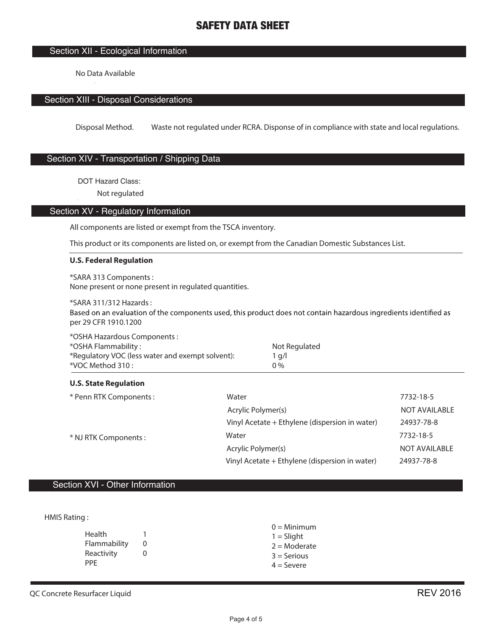# Section XII - Ecological Information

No Data Available

### Section XIII - Disposal Considerations

Disposal Method. Waste not regulated under RCRA. Disponse of in compliance with state and local regulations.

# Section XIV - Transportation / Shipping Data

DOT Hazard Class:

**Not regulated**

### Section XV - Regulatory Information

All components are listed or exempt from the TSCA inventory.

This product or its components are listed on, or exempt from the Canadian Domestic Substances List.

#### **U.S. Federal Regulation**

\*SARA 313 Components : None present or none present in regulated quantities.

\*SARA 311/312 Hazards : Based on an evaluation of the components used, this product does not contain hazardous ingredients identified as per 29 CFR 1910.1200

| *OSHA Hazardous Components :                     |               |
|--------------------------------------------------|---------------|
| *OSHA Flammability :                             | Not Regulated |
| *Regulatory VOC (less water and exempt solvent): | a/l           |
| *VOC Method 310 :                                | 0 %           |

#### **U.S. State Regulation**

| * Penn RTK Components : | Water                                          | 7732-18-5            |
|-------------------------|------------------------------------------------|----------------------|
| * NJ RTK Components :   | Acrylic Polymer(s)                             | NOT AVAILABLE        |
|                         | Vinyl Acetate + Ethylene (dispersion in water) | 24937-78-8           |
|                         | Water                                          | 7732-18-5            |
|                         | Acrylic Polymer(s)                             | <b>NOT AVAILABLE</b> |
|                         | Vinyl Acetate + Ethylene (dispersion in water) | 24937-78-8           |

# Section XVI - Other Information

HMIS Rating :

| Health       | 1 |
|--------------|---|
| Flammability | O |
| Reactivity   | O |
| PPF          |   |

 $0 =$ Minimum  $1 =$  Slight  $2 =$ Moderate  $3 =$  Serious  $4 =$  Severe

**QC Concrete Resurfacer Liquid**